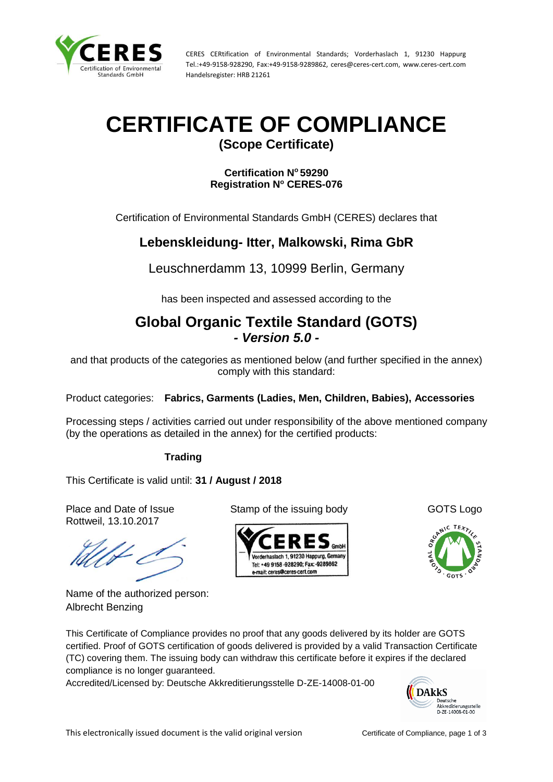

CERES CERtification of Environmental Standards; Vorderhaslach 1, 91230 Happurg Tel.:+49-9158-928290, Fax:+49-9158-9289862, ceres@ceres-cert.com, www.ceres-cert.com Handelsregister: HRB 21261

## **CERTIFICATE OF COMPLIANCE**

**(Scope Certificate)**

**Certification N<sup>o</sup> 59290 Registration N<sup>o</sup> CERES-076**

Certification of Environmental Standards GmbH (CERES) declares that

## **Lebenskleidung- Itter, Malkowski, Rima GbR**

Leuschnerdamm 13, 10999 Berlin, Germany

has been inspected and assessed according to the

## **Global Organic Textile Standard (GOTS)** *- Version 5.0 -*

and that products of the categories as mentioned below (and further specified in the annex) comply with this standard:

Product categories: **Fabrics, Garments (Ladies, Men, Children, Babies), Accessories**

Processing steps / activities carried out under responsibility of the above mentioned company (by the operations as detailed in the annex) for the certified products:

## **Trading**

This Certificate is valid until: **31 / August / 2018**

Rottweil, 13.10.2017

Name of the authorized person: Albrecht Benzing

Place and Date of Issue Stamp of the issuing body GOTS Logo





This Certificate of Compliance provides no proof that any goods delivered by its holder are GOTS certified. Proof of GOTS certification of goods delivered is provided by a valid Transaction Certificate (TC) covering them. The issuing body can withdraw this certificate before it expires if the declared compliance is no longer guaranteed.

Accredited/Licensed by: Deutsche Akkreditierungsstelle D-ZE-14008-01-00

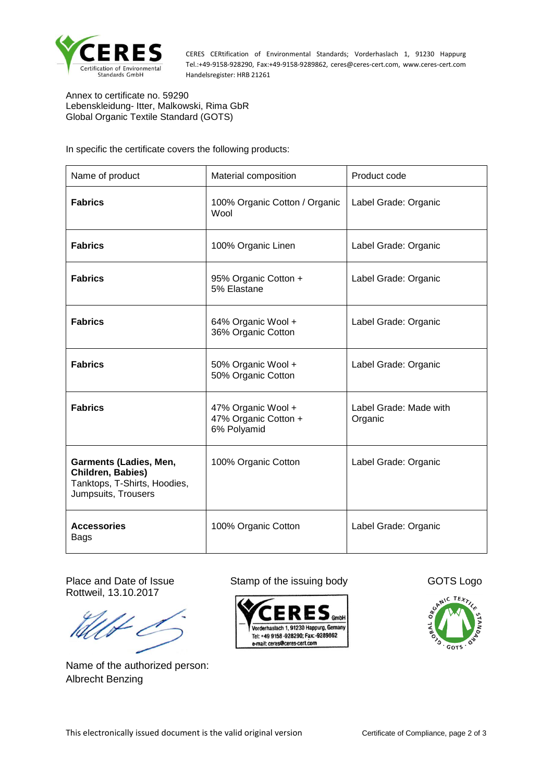

CERES CERtification of Environmental Standards; Vorderhaslach 1, 91230 Happurg Tel.:+49-9158-928290, Fax:+49-9158-9289862, ceres@ceres-cert.com, www.ceres-cert.com Handelsregister: HRB 21261

Annex to certificate no. 59290 Lebenskleidung- Itter, Malkowski, Rima GbR Global Organic Textile Standard (GOTS)

In specific the certificate covers the following products:

| Name of product                                                                                           | Material composition                                      | Product code                      |
|-----------------------------------------------------------------------------------------------------------|-----------------------------------------------------------|-----------------------------------|
| <b>Fabrics</b>                                                                                            | 100% Organic Cotton / Organic<br>Wool                     | Label Grade: Organic              |
| <b>Fabrics</b>                                                                                            | 100% Organic Linen                                        | Label Grade: Organic              |
| <b>Fabrics</b>                                                                                            | 95% Organic Cotton +<br>5% Elastane                       | Label Grade: Organic              |
| <b>Fabrics</b>                                                                                            | 64% Organic Wool +<br>36% Organic Cotton                  | Label Grade: Organic              |
| <b>Fabrics</b>                                                                                            | 50% Organic Wool +<br>50% Organic Cotton                  | Label Grade: Organic              |
| <b>Fabrics</b>                                                                                            | 47% Organic Wool +<br>47% Organic Cotton +<br>6% Polyamid | Label Grade: Made with<br>Organic |
| <b>Garments (Ladies, Men,</b><br>Children, Babies)<br>Tanktops, T-Shirts, Hoodies,<br>Jumpsuits, Trousers | 100% Organic Cotton                                       | Label Grade: Organic              |
| <b>Accessories</b><br>Bags                                                                                | 100% Organic Cotton                                       | Label Grade: Organic              |

Rottweil, 13.10.2017

Name of the authorized person: Albrecht Benzing

Place and Date of Issue Stamp of the issuing body GOTS Logo